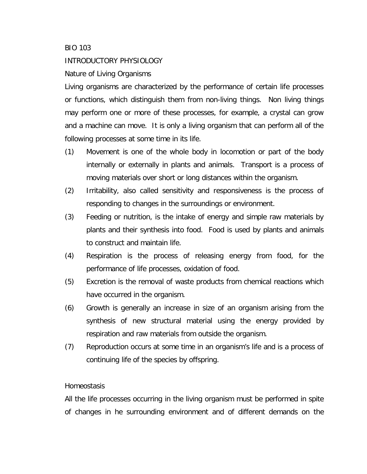## BIO 103

## INTRODUCTORY PHYSIOLOGY

## Nature of Living Organisms

Living organisms are characterized by the performance of certain life processes or functions, which distinguish them from non-living things. Non living things may perform one or more of these processes, for example, a crystal can grow and a machine can move. It is only a living organism that can perform all of the following processes at some time in its life.

- (1) Movement is one of the whole body in locomotion or part of the body internally or externally in plants and animals. Transport is a process of moving materials over short or long distances within the organism.
- (2) Irritability, also called sensitivity and responsiveness is the process of responding to changes in the surroundings or environment.
- (3) Feeding or nutrition, is the intake of energy and simple raw materials by plants and their synthesis into food. Food is used by plants and animals to construct and maintain life.
- (4) Respiration is the process of releasing energy from food, for the performance of life processes, oxidation of food.
- (5) Excretion is the removal of waste products from chemical reactions which have occurred in the organism.
- (6) Growth is generally an increase in size of an organism arising from the synthesis of new structural material using the energy provided by respiration and raw materials from outside the organism.
- (7) Reproduction occurs at some time in an organism's life and is a process of continuing life of the species by offspring.

## Homeostasis

All the life processes occurring in the living organism must be performed in spite of changes in he surrounding environment and of different demands on the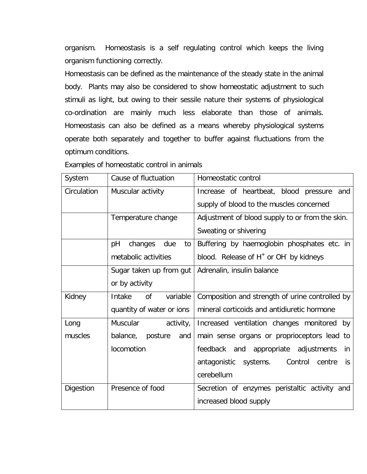organism. Homeostasis is a self regulating control which keeps the living organism functioning correctly.

Homeostasis can be defined as the maintenance of the steady state in the animal body. Plants may also be considered to show homeostatic adjustment to such stimuli as light, but owing to their sessile nature their systems of physiological co-ordination are mainly much less elaborate than those of animals. Homeostasis can also be defined as a means whereby physiological systems operate both separately and together to buffer against fluctuations from the optimum conditions.

| System      | Cause of fluctuation       | Homeostatic control                                            |
|-------------|----------------------------|----------------------------------------------------------------|
| Circulation | Muscular activity          | Increase of heartbeat, blood pressure<br>and                   |
|             |                            | supply of blood to the muscles concerned                       |
|             | Temperature change         | Adjustment of blood supply to or from the skin.                |
|             |                            | Sweating or shivering                                          |
|             | pH<br>changes<br>due<br>to | Buffering by haemoglobin phosphates etc. in                    |
|             | metabolic activities       | blood. Release of H <sup>+</sup> or OH <sup>-</sup> by kidneys |
|             | Sugar taken up from gut    | Adrenalin, insulin balance                                     |
|             | or by activity             |                                                                |
| Kidney      | Intake<br>variable<br>0f   | Composition and strength of urine controlled by                |
|             | quantity of water or ions  | mineral corticoids and antidiuretic hormone                    |
| Long        | Muscular<br>activity,      | Increased ventilation changes monitored by                     |
| muscles     | balance,<br>posture<br>and | main sense organs or proprioceptors lead to                    |
|             | locomotion                 | feedback and appropriate adjustments<br>in                     |
|             |                            | Control<br>antagonistic systems.<br>centre<br><i>is</i>        |
|             |                            | cerebellum                                                     |
| Digestion   | Presence of food           | Secretion of enzymes peristaltic activity and                  |
|             |                            | increased blood supply                                         |

Examples of homeostatic control in animals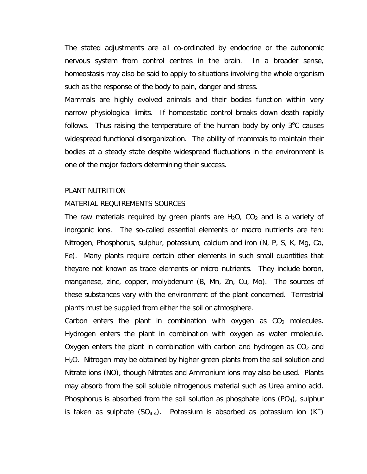The stated adjustments are all co-ordinated by endocrine or the autonomic nervous system from control centres in the brain. In a broader sense, homeostasis may also be said to apply to situations involving the whole organism such as the response of the body to pain, danger and stress.

Mammals are highly evolved animals and their bodies function within very narrow physiological limits. If homoestatic control breaks down death rapidly follows. Thus raising the temperature of the human body by only  $3^{\circ}$ C causes widespread functional disorganization. The ability of mammals to maintain their bodies at a steady state despite widespread fluctuations in the environment is one of the major factors determining their success.

### PLANT NUTRITION

### MATERIAL REQUIREMENTS SOURCES

The raw materials required by green plants are  $H_2O$ ,  $CO_2$  and is a variety of inorganic ions. The so-called essential elements or macro nutrients are ten: Nitrogen, Phosphorus, sulphur, potassium, calcium and iron (N, P, S, K, Mg, Ca, Fe). Many plants require certain other elements in such small quantities that theyare not known as trace elements or micro nutrients. They include boron, manganese, zinc, copper, molybdenum (B, Mn, Zn, Cu, Mo). The sources of these substances vary with the environment of the plant concerned. Terrestrial plants must be supplied from either the soil or atmosphere.

Carbon enters the plant in combination with oxygen as  $CO<sub>2</sub>$  molecules. Hydrogen enters the plant in combination with oxygen as water rmolecule. Oxygen enters the plant in combination with carbon and hydrogen as  $CO<sub>2</sub>$  and  $H<sub>2</sub>O$ . Nitrogen may be obtained by higher green plants from the soil solution and Nitrate ions (NO), though Nitrates and Ammonium ions may also be used. Plants may absorb from the soil soluble nitrogenous material such as Urea amino acid. Phosphorus is absorbed from the soil solution as phosphate ions  $(PO<sub>4</sub>)$ , sulphur is taken as sulphate  $(SO_{4-4})$ . Potassium is absorbed as potassium ion  $(K^+)$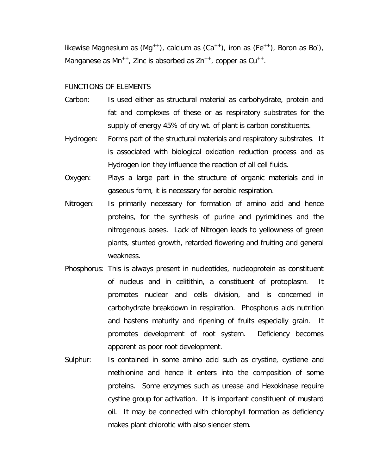likewise Magnesium as  $(Mg^{+})$ , calcium as  $(Ca^{+})$ , iron as  $(Fe^{++})$ , Boron as Bo), Manganese as  $Mn^{++}$ , Zinc is absorbed as  $Zn^{++}$ , copper as  $Cu^{++}$ .

#### FUNCTIONS OF ELEMENTS

- Carbon: Is used either as structural material as carbohydrate, protein and fat and complexes of these or as respiratory substrates for the supply of energy 45% of dry wt. of plant is carbon constituents.
- Hydrogen: Forms part of the structural materials and respiratory substrates. It is associated with biological oxidation reduction process and as Hydrogen ion they influence the reaction of all cell fluids.
- Oxygen: Plays a large part in the structure of organic materials and in gaseous form, it is necessary for aerobic respiration.
- Nitrogen: Is primarily necessary for formation of amino acid and hence proteins, for the synthesis of purine and pyrimidines and the nitrogenous bases. Lack of Nitrogen leads to yellowness of green plants, stunted growth, retarded flowering and fruiting and general weakness.
- Phosphorus: This is always present in nucleotides, nucleoprotein as constituent of nucleus and in celitithin, a constituent of protoplasm. It promotes nuclear and cells division, and is concerned in carbohydrate breakdown in respiration. Phosphorus aids nutrition and hastens maturity and ripening of fruits especially grain. It promotes development of root system. Deficiency becomes apparent as poor root development.
- Sulphur: Is contained in some amino acid such as crystine, cystiene and methionine and hence it enters into the composition of some proteins. Some enzymes such as urease and Hexokinase require cystine group for activation. It is important constituent of mustard oil. It may be connected with chlorophyll formation as deficiency makes plant chlorotic with also slender stem.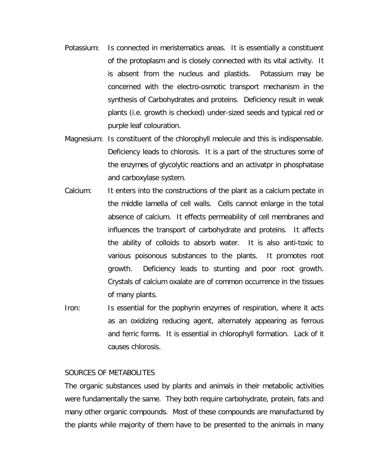- Potassium: Is connected in meristematics areas. It is essentially a constituent of the protoplasm and is closely connected with its vital activity. It is absent from the nucleus and plastids. Potassium may be concerned with the electro-osmotic transport mechanism in the synthesis of Carbohydrates and proteins. Deficiency result in weak plants (i.e. growth is checked) under-sized seeds and typical red or purple leaf colouration.
- Magnesium: Is constituent of the chlorophyll molecule and this is indispensable. Deficiency leads to chlorosis. It is a part of the structures some of the enzymes of glycolytic reactions and an activatpr in phosphatase and carboxylase system.
- Calcium: It enters into the constructions of the plant as a calcium pectate in the middle lamella of cell walls. Cells cannot enlarge in the total absence of calcium. It effects permeability of cell membranes and influences the transport of carbohydrate and proteins. It affects the ability of colloids to absorb water. It is also anti-toxic to various poisonous substances to the plants. It promotes root growth. Deficiency leads to stunting and poor root growth. Crystals of calcium oxalate are of common occurrence in the tissues of many plants.
- Iron: Is essential for the pophyrin enzymes of respiration, where it acts as an oxidizing reducing agent, alternately appearing as ferrous and ferric forms. It is essential in chlorophyll formation. Lack of it causes chlorosis.

#### SOURCES OF METABOLITES

The organic substances used by plants and animals in their metabolic activities were fundamentally the same. They both require carbohydrate, protein, fats and many other organic compounds. Most of these compounds are manufactured by the plants while majority of them have to be presented to the animals in many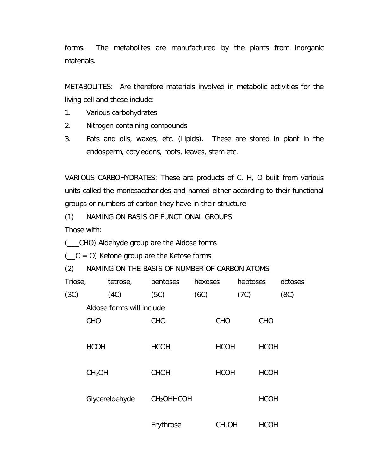forms. The metabolites are manufactured by the plants from inorganic materials.

METABOLITES: Are therefore materials involved in metabolic activities for the living cell and these include:

- 1. Various carbohydrates
- 2. Nitrogen containing compounds
- 3. Fats and oils, waxes, etc. (Lipids). These are stored in plant in the endosperm, cotyledons, roots, leaves, stem etc.

VARIOUS CARBOHYDRATES: These are products of C, H, O built from various units called the monosaccharides and named either according to their functional groups or numbers of carbon they have in their structure

(1) NAMING ON BASIS OF FUNCTIONAL GROUPS

Those with:

(\_\_\_CHO) Aldehyde group are the Aldose forms

 $($   $\subset$   $C$  = 0) Ketone group are the Ketose forms

(2) NAMING ON THE BASIS OF NUMBER OF CARBON ATOMS

| Triose, |                    | tetrose,                  | pentoses               | hexoses |                    | heptoses |             | octoses |
|---------|--------------------|---------------------------|------------------------|---------|--------------------|----------|-------------|---------|
| (3C)    |                    | (4C)                      | (5C)                   | (6C)    |                    | (7C)     |             | (8C)    |
|         |                    | Aldose forms will include |                        |         |                    |          |             |         |
|         | CHO                |                           | <b>CHO</b>             |         | <b>CHO</b>         |          | <b>CHO</b>  |         |
|         |                    |                           |                        |         |                    |          |             |         |
|         | <b>HCOH</b>        |                           | <b>HCOH</b>            |         | <b>HCOH</b>        |          | <b>HCOH</b> |         |
|         |                    |                           |                        |         |                    |          |             |         |
|         | CH <sub>2</sub> OH |                           | <b>CHOH</b>            |         | <b>HCOH</b>        |          | <b>HCOH</b> |         |
|         |                    |                           |                        |         |                    |          |             |         |
|         |                    | Glycereldehyde            | CH <sub>2</sub> OHHCOH |         |                    |          | <b>HCOH</b> |         |
|         |                    |                           |                        |         |                    |          |             |         |
|         |                    |                           | Erythrose              |         | CH <sub>2</sub> OH |          | <b>HCOH</b> |         |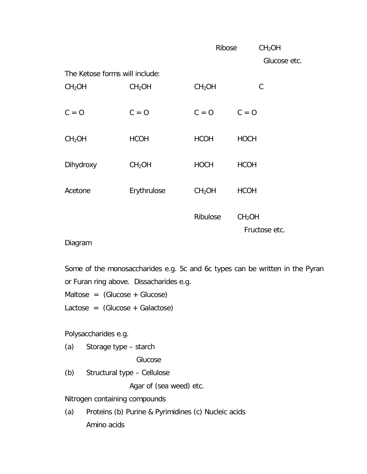|                                |                    | Ribose             |                    | CH <sub>2</sub> OH |
|--------------------------------|--------------------|--------------------|--------------------|--------------------|
|                                |                    |                    |                    | Glucose etc.       |
| The Ketose forms will include: |                    |                    |                    |                    |
| CH <sub>2</sub> OH             | CH <sub>2</sub> OH | CH <sub>2</sub> OH |                    | C                  |
| $C = 0$                        | $C = 0$            | $C = 0$            | $C = 0$            |                    |
| CH <sub>2</sub> OH             | <b>HCOH</b>        | <b>HCOH</b>        | <b>HOCH</b>        |                    |
| Dihydroxy                      | CH <sub>2</sub> OH | <b>HOCH</b>        | <b>HCOH</b>        |                    |
| Acetone                        | Erythrulose        | CH <sub>2</sub> OH | <b>HCOH</b>        |                    |
|                                |                    | Ribulose           | CH <sub>2</sub> OH | Fructose etc.      |

## Diagram

Some of the monosaccharides e.g. 5c and 6c types can be written in the Pyran or Furan ring above. Dissacharides e.g.

 $Maltose = (Glucose + Glucose)$ 

Lactose = (Glucose + Galactose)

Polysaccharides e.g.

(a) Storage type – starch

Glucose

(b) Structural type – Cellulose

Agar of (sea weed) etc.

Nitrogen containing compounds

(a) Proteins (b) Purine & Pyrimidines (c) Nucleic acids Amino acids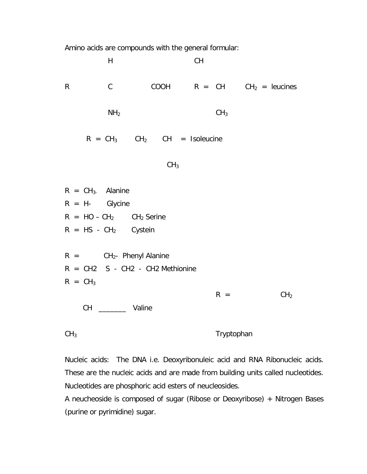Amino acids are compounds with the general formular:



Nucleic acids: The DNA i.e. Deoxyribonuleic acid and RNA Ribonucleic acids. These are the nucleic acids and are made from building units called nucleotides. Nucleotides are phosphoric acid esters of neucleosides.

A neucheoside is composed of sugar (Ribose or Deoxyribose) + Nitrogen Bases (purine or pyrimidine) sugar.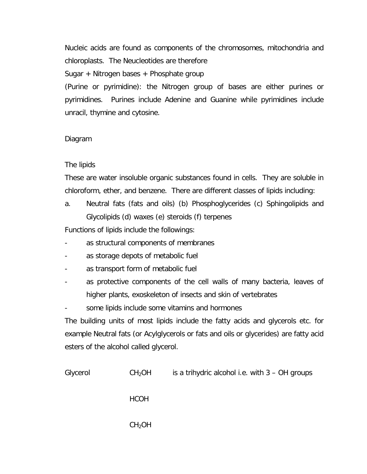Nucleic acids are found as components of the chromosomes, mitochondria and chloroplasts. The Neucleotides are therefore Sugar + Nitrogen bases + Phosphate group

(Purine or pyrimidine): the Nitrogen group of bases are either purines or pyrimidines. Purines include Adenine and Guanine while pyrimidines include unracil, thymine and cytosine.

## Diagram

## The lipids

These are water insoluble organic substances found in cells. They are soluble in chloroform, ether, and benzene. There are different classes of lipids including:

a. Neutral fats (fats and oils) (b) Phosphoglycerides (c) Sphingolipids and Glycolipids (d) waxes (e) steroids (f) terpenes

Functions of lipids include the followings:

- as structural components of membranes
- as storage depots of metabolic fuel
- as transport form of metabolic fuel
- as protective components of the cell walls of many bacteria, leaves of higher plants, exoskeleton of insects and skin of vertebrates
- some lipids include some vitamins and hormones

The building units of most lipids include the fatty acids and glycerols etc. for example Neutral fats (or Acylglycerols or fats and oils or glycerides) are fatty acid esters of the alcohol called glycerol.

| Glycerol | CH <sub>2</sub> OH | is a trihydric alcohol i.e. with $3 - OH$ groups |
|----------|--------------------|--------------------------------------------------|
|          | <b>HCOH</b>        |                                                  |
|          | CH <sub>2</sub> OH |                                                  |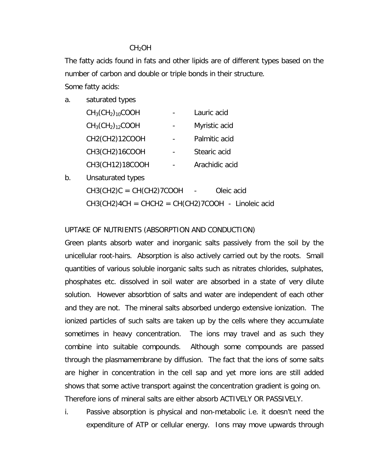## CH<sub>2</sub>OH

The fatty acids found in fats and other lipids are of different types based on the number of carbon and double or triple bonds in their structure.

Some fatty acids:

a. saturated types

| $CH3(CH2)10COOH$ | Lauric acid    |
|------------------|----------------|
| $CH3(CH2)12COOH$ | Myristic acid  |
| CH2(CH2)12COOH   | Palmitic acid  |
| CH3(CH2)16COOH   | Stearic acid   |
| CH3(CH12)18COOH  | Arachidic acid |

b. Unsaturated types  $CH3(CH2)C = CH(CH2)7COOH$  - Oleic acid  $CH3(CH2)4CH = CHCH2 = CH(CH2)7COOH - Linoleic acid$ 

## UPTAKE OF NUTRIENTS (ABSORPTION AND CONDUCTION)

Green plants absorb water and inorganic salts passively from the soil by the unicellular root-hairs. Absorption is also actively carried out by the roots. Small quantities of various soluble inorganic salts such as nitrates chlorides, sulphates, phosphates etc. dissolved in soil water are absorbed in a state of very dilute solution. However absorbtion of salts and water are independent of each other and they are not. The mineral salts absorbed undergo extensive ionization. The ionized particles of such salts are taken up by the cells where they accumulate sometimes in heavy concentration. The ions may travel and as such they combine into suitable compounds. Although some compounds are passed through the plasmamembrane by diffusion. The fact that the ions of some salts are higher in concentration in the cell sap and yet more ions are still added shows that some active transport against the concentration gradient is going on. Therefore ions of mineral salts are either absorb ACTIVELY OR PASSIVELY.

i. Passive absorption is physical and non-metabolic i.e. it doesn't need the expenditure of ATP or cellular energy. Ions may move upwards through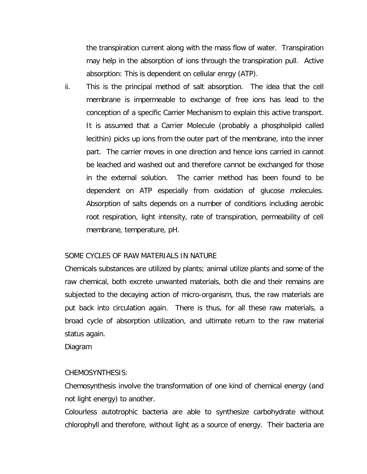the transpiration current along with the mass flow of water. Transpiration may help in the absorption of ions through the transpiration pull. Active absorption: This is dependent on cellular enrgy (ATP).

ii. This is the principal method of salt absorption. The idea that the cell membrane is impermeable to exchange of free ions has lead to the conception of a specific Carrier Mechanism to explain this active transport. It is assumed that a Carrier Molecule (probably a phospholipid called lecithin) picks up ions from the outer part of the membrane, into the inner part. The carrier moves in one direction and hence ions carried in cannot be leached and washed out and therefore cannot be exchanged for those in the external solution. The carrier method has been found to be dependent on ATP especially from oxidation of glucose molecules. Absorption of salts depends on a number of conditions including aerobic root respiration, light intensity, rate of transpiration, permeability of cell membrane, temperature, pH.

## SOME CYCLES OF RAW MATERIALS IN NATURE

Chemicals substances are utilized by plants; animal utilize plants and some of the raw chemical, both excrete unwanted materials, both die and their remains are subjected to the decaying action of micro-organism, thus, the raw materials are put back into circulation again. There is thus, for all these raw materials, a broad cycle of absorption utilization, and ultimate return to the raw material status again.

Diagram

### CHEMOSYNTHESIS:

Chemosynthesis involve the transformation of one kind of chemical energy (and not light energy) to another.

Colourless autotrophic bacteria are able to synthesize carbohydrate without chlorophyll and therefore, without light as a source of energy. Their bacteria are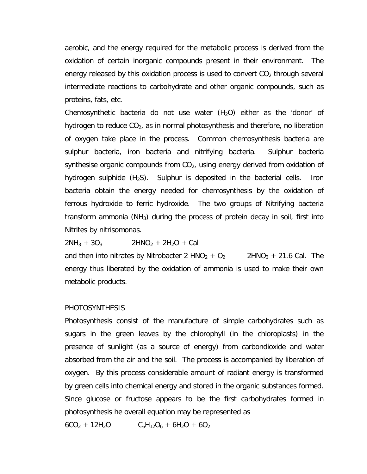aerobic, and the energy required for the metabolic process is derived from the oxidation of certain inorganic compounds present in their environment. The energy released by this oxidation process is used to convert  $CO<sub>2</sub>$  through several intermediate reactions to carbohydrate and other organic compounds, such as proteins, fats, etc.

Chemosynthetic bacteria do not use water  $(H<sub>2</sub>O)$  either as the 'donor' of hydrogen to reduce  $CO<sub>2</sub>$ , as in normal photosynthesis and therefore, no liberation of oxygen take place in the process. Common chemosynthesis bacteria are sulphur bacteria, iron bacteria and nitrifying bacteria. Sulphur bacteria synthesise organic compounds from  $CO<sub>2</sub>$ , using energy derived from oxidation of hydrogen sulphide  $(H_2S)$ . Sulphur is deposited in the bacterial cells. Iron bacteria obtain the energy needed for chemosynthesis by the oxidation of ferrous hydroxide to ferric hydroxide. The two groups of Nitrifying bacteria transform ammonia ( $NH<sub>3</sub>$ ) during the process of protein decay in soil, first into Nitrites by nitrisomonas.

 $2NH_3 + 3O_3$  2HNO<sub>2</sub> + 2H<sub>2</sub>O + Cal

and then into nitrates by Nitrobacter 2 HNO<sub>2</sub> + O<sub>2</sub> 2HNO<sub>3</sub> + 21.6 Cal. The energy thus liberated by the oxidation of ammonia is used to make their own metabolic products.

### PHOTOSYNTHESIS

Photosynthesis consist of the manufacture of simple carbohydrates such as sugars in the green leaves by the chlorophyll (in the chloroplasts) in the presence of sunlight (as a source of energy) from carbondioxide and water absorbed from the air and the soil. The process is accompanied by liberation of oxygen. By this process considerable amount of radiant energy is transformed by green cells into chemical energy and stored in the organic substances formed. Since glucose or fructose appears to be the first carbohydrates formed in photosynthesis he overall equation may be represented as

 $6CO<sub>2</sub> + 12H<sub>2</sub>O$   $C<sub>6</sub>H<sub>12</sub>O<sub>6</sub> + 6H<sub>2</sub>O + 6O<sub>2</sub>$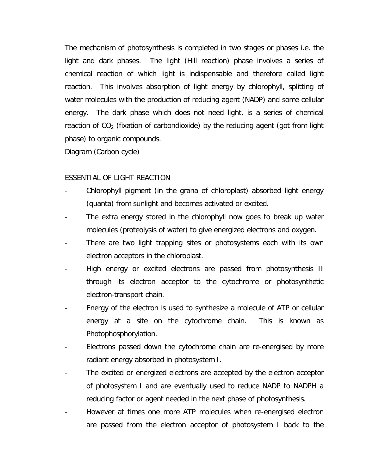The mechanism of photosynthesis is completed in two stages or phases i.e. the light and dark phases. The light (Hill reaction) phase involves a series of chemical reaction of which light is indispensable and therefore called light reaction. This involves absorption of light energy by chlorophyll, splitting of water molecules with the production of reducing agent (NADP) and some cellular energy. The dark phase which does not need light, is a series of chemical reaction of  $CO<sub>2</sub>$  (fixation of carbondioxide) by the reducing agent (got from light phase) to organic compounds.

Diagram (Carbon cycle)

## ESSENTIAL OF LIGHT REACTION

- Chlorophyll pigment (in the grana of chloroplast) absorbed light energy (quanta) from sunlight and becomes activated or excited.
- The extra energy stored in the chlorophyll now goes to break up water molecules (proteolysis of water) to give energized electrons and oxygen.
- There are two light trapping sites or photosystems each with its own electron acceptors in the chloroplast.
- High energy or excited electrons are passed from photosynthesis II through its electron acceptor to the cytochrome or photosynthetic electron-transport chain.
- Energy of the electron is used to synthesize a molecule of ATP or cellular energy at a site on the cytochrome chain. This is known as Photophosphorylation.
- Electrons passed down the cytochrome chain are re-energised by more radiant energy absorbed in photosystem I.
- The excited or energized electrons are accepted by the electron acceptor of photosystem I and are eventually used to reduce NADP to NADPH a reducing factor or agent needed in the next phase of photosynthesis.
- However at times one more ATP molecules when re-energised electron are passed from the electron acceptor of photosystem I back to the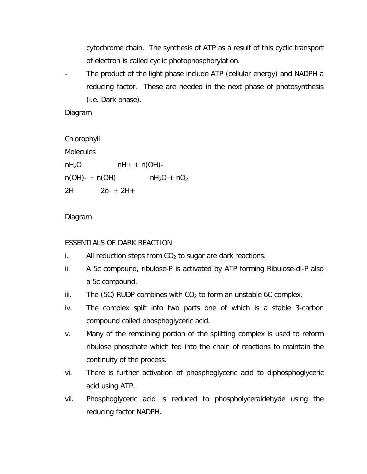cytochrome chain. The synthesis of ATP as a result of this cyclic transport of electron is called cyclic photophosphorylation.

- The product of the light phase include ATP (cellular energy) and NADPH a reducing factor. These are needed in the next phase of photosynthesis (i.e. Dark phase).

Diagram

Chlorophyll **Molecules**  $nH_2O$   $nH_+ + n(OH)$  $n(OH) - + n(OH)$   $nH_2O + nO_2$ 2H 2e- + 2H+

## Diagram

## ESSENTIALS OF DARK REACTION

- i. All reduction steps from  $CO<sub>2</sub>$  to sugar are dark reactions.
- ii. A 5c compound, ribulose-P is activated by ATP forming Ribulose-di-P also a 5c compound.
- iii. The (5C) RUDP combines with  $CO<sub>2</sub>$  to form an unstable 6C complex.
- iv. The complex split into two parts one of which is a stable 3-carbon compound called phosphoglyceric acid.
- v. Many of the remaining portion of the splitting complex is used to reform ribulose phosphate which fed into the chain of reactions to maintain the continuity of the process.
- vi. There is further activation of phosphoglyceric acid to diphosphoglyceric acid using ATP.
- vii. Phosphoglyceric acid is reduced to phospholyceraldehyde using the reducing factor NADPH.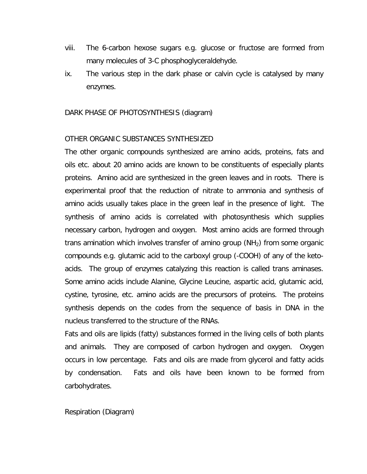- viii. The 6-carbon hexose sugars e.g. glucose or fructose are formed from many molecules of 3-C phosphoglyceraldehyde.
- ix. The various step in the dark phase or calvin cycle is catalysed by many enzymes.

### DARK PHASE OF PHOTOSYNTHESIS (diagram)

### OTHER ORGANIC SUBSTANCES SYNTHESIZED

The other organic compounds synthesized are amino acids, proteins, fats and oils etc. about 20 amino acids are known to be constituents of especially plants proteins. Amino acid are synthesized in the green leaves and in roots. There is experimental proof that the reduction of nitrate to ammonia and synthesis of amino acids usually takes place in the green leaf in the presence of light. The synthesis of amino acids is correlated with photosynthesis which supplies necessary carbon, hydrogen and oxygen. Most amino acids are formed through trans amination which involves transfer of amino group  $(NH<sub>2</sub>)$  from some organic compounds e.g. glutamic acid to the carboxyl group (-COOH) of any of the ketoacids. The group of enzymes catalyzing this reaction is called trans aminases. Some amino acids include Alanine, Glycine Leucine, aspartic acid, glutamic acid, cystine, tyrosine, etc. amino acids are the precursors of proteins. The proteins synthesis depends on the codes from the sequence of basis in DNA in the nucleus transferred to the structure of the RNAs.

Fats and oils are lipids (fatty) substances formed in the living cells of both plants and animals. They are composed of carbon hydrogen and oxygen. Oxygen occurs in low percentage. Fats and oils are made from glycerol and fatty acids by condensation. Fats and oils have been known to be formed from carbohydrates.

Respiration (Diagram)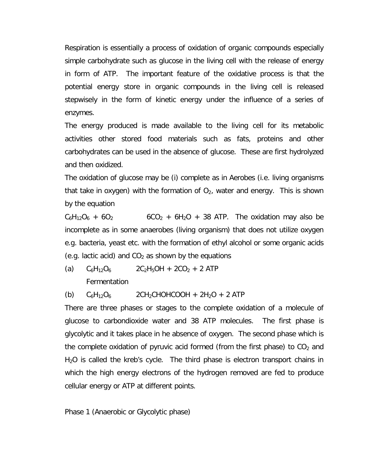Respiration is essentially a process of oxidation of organic compounds especially simple carbohydrate such as glucose in the living cell with the release of energy in form of ATP. The important feature of the oxidative process is that the potential energy store in organic compounds in the living cell is released stepwisely in the form of kinetic energy under the influence of a series of enzymes.

The energy produced is made available to the living cell for its metabolic activities other stored food materials such as fats, proteins and other carbohydrates can be used in the absence of glucose. These are first hydrolyzed and then oxidized.

The oxidation of glucose may be (i) complete as in Aerobes (i.e. living organisms that take in oxygen) with the formation of  $O<sub>2</sub>$ , water and energy. This is shown by the equation

 $C_6H_{12}O_6 + 6O_2$  6CO<sub>2</sub> + 6H<sub>2</sub>O + 38 ATP. The oxidation may also be incomplete as in some anaerobes (living organism) that does not utilize oxygen e.g. bacteria, yeast etc. with the formation of ethyl alcohol or some organic acids (e.g. lactic acid) and  $CO<sub>2</sub>$  as shown by the equations

(a)  $C_6H_{12}O_6$  2C<sub>2</sub>H<sub>5</sub>OH + 2CO<sub>2</sub> + 2 ATP

**Fermentation** 

(b)  $C_6H_{12}O_6$  2CH<sub>2</sub>CHOHCOOH + 2H<sub>2</sub>O + 2 ATP

There are three phases or stages to the complete oxidation of a molecule of glucose to carbondioxide water and 38 ATP molecules. The first phase is glycolytic and it takes place in he absence of oxygen. The second phase which is the complete oxidation of pyruvic acid formed (from the first phase) to  $CO<sub>2</sub>$  and  $H<sub>2</sub>O$  is called the kreb's cycle. The third phase is electron transport chains in which the high energy electrons of the hydrogen removed are fed to produce cellular energy or ATP at different points.

Phase 1 (Anaerobic or Glycolytic phase)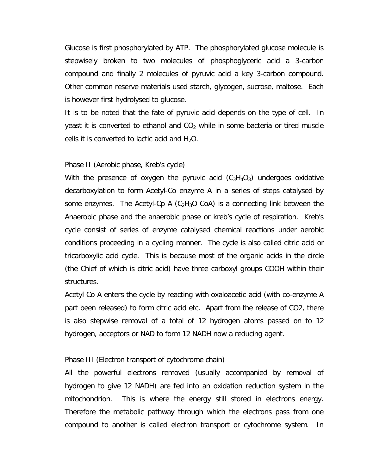Glucose is first phosphorylated by ATP. The phosphorylated glucose molecule is stepwisely broken to two molecules of phosphoglyceric acid a 3-carbon compound and finally 2 molecules of pyruvic acid a key 3-carbon compound. Other common reserve materials used starch, glycogen, sucrose, maltose. Each is however first hydrolysed to glucose.

It is to be noted that the fate of pyruvic acid depends on the type of cell. In yeast it is converted to ethanol and  $CO<sub>2</sub>$  while in some bacteria or tired muscle cells it is converted to lactic acid and  $H_2O$ .

#### Phase II (Aerobic phase, Kreb's cycle)

With the presence of oxygen the pyruvic acid  $(C_3H_4O_3)$  undergoes oxidative decarboxylation to form Acetyl-Co enzyme A in a series of steps catalysed by some enzymes. The Acetyl-Cp A  $(C_2H_3O$  CoA) is a connecting link between the Anaerobic phase and the anaerobic phase or kreb's cycle of respiration. Kreb's cycle consist of series of enzyme catalysed chemical reactions under aerobic conditions proceeding in a cycling manner. The cycle is also called citric acid or tricarboxylic acid cycle. This is because most of the organic acids in the circle (the Chief of which is citric acid) have three carboxyl groups COOH within their structures.

Acetyl Co A enters the cycle by reacting with oxaloacetic acid (with co-enzyme A part been released) to form citric acid etc. Apart from the release of CO2, there is also stepwise removal of a total of 12 hydrogen atoms passed on to 12 hydrogen, acceptors or NAD to form 12 NADH now a reducing agent.

### Phase III (Electron transport of cytochrome chain)

All the powerful electrons removed (usually accompanied by removal of hydrogen to give 12 NADH) are fed into an oxidation reduction system in the mitochondrion. This is where the energy still stored in electrons energy. Therefore the metabolic pathway through which the electrons pass from one compound to another is called electron transport or cytochrome system. In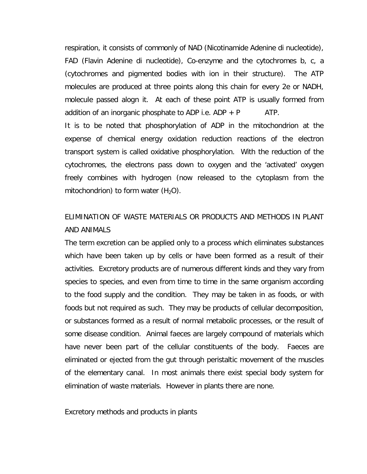respiration, it consists of commonly of NAD (Nicotinamide Adenine di nucleotide), FAD (Flavin Adenine di nucleotide), Co-enzyme and the cytochromes b, c, a (cytochromes and pigmented bodies with ion in their structure). The ATP molecules are produced at three points along this chain for every 2e or NADH, molecule passed alogn it. At each of these point ATP is usually formed from addition of an inorganic phosphate to ADP i.e.  $ADP + P$  ATP.

It is to be noted that phosphorylation of ADP in the mitochondrion at the expense of chemical energy oxidation reduction reactions of the electron transport system is called oxidative phosphorylation. With the reduction of the cytochromes, the electrons pass down to oxygen and the 'activated' oxygen freely combines with hydrogen (now released to the cytoplasm from the mitochondrion) to form water  $(H_2O)$ .

# ELIMINATION OF WASTE MATERIALS OR PRODUCTS AND METHODS IN PLANT AND ANIMALS

The term excretion can be applied only to a process which eliminates substances which have been taken up by cells or have been formed as a result of their activities. Excretory products are of numerous different kinds and they vary from species to species, and even from time to time in the same organism according to the food supply and the condition. They may be taken in as foods, or with foods but not required as such. They may be products of cellular decomposition, or substances formed as a result of normal metabolic processes, or the result of some disease condition. Animal faeces are largely compound of materials which have never been part of the cellular constituents of the body. Faeces are eliminated or ejected from the gut through peristaltic movement of the muscles of the elementary canal. In most animals there exist special body system for elimination of waste materials. However in plants there are none.

Excretory methods and products in plants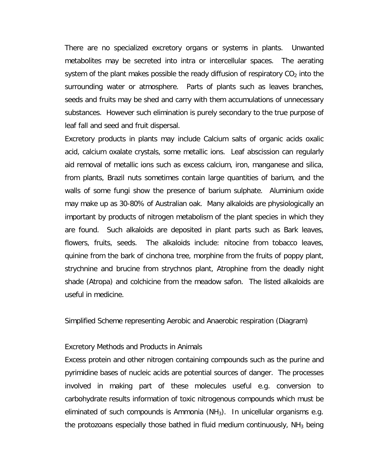There are no specialized excretory organs or systems in plants. Unwanted metabolites may be secreted into intra or intercellular spaces. The aerating system of the plant makes possible the ready diffusion of respiratory  $CO<sub>2</sub>$  into the surrounding water or atmosphere. Parts of plants such as leaves branches, seeds and fruits may be shed and carry with them accumulations of unnecessary substances. However such elimination is purely secondary to the true purpose of leaf fall and seed and fruit dispersal.

Excretory products in plants may include Calcium salts of organic acids oxalic acid, calcium oxalate crystals, some metallic ions. Leaf abscission can regularly aid removal of metallic ions such as excess calcium, iron, manganese and silica, from plants, Brazil nuts sometimes contain large quantities of barium, and the walls of some fungi show the presence of barium sulphate. Aluminium oxide may make up as 30-80% of Australian oak. Many alkaloids are physiologically an important by products of nitrogen metabolism of the plant species in which they are found. Such alkaloids are deposited in plant parts such as Bark leaves, flowers, fruits, seeds. The alkaloids include: nitocine from tobacco leaves, quinine from the bark of cinchona tree, morphine from the fruits of poppy plant, strychnine and brucine from strychnos plant, Atrophine from the deadly night shade (Atropa) and colchicine from the meadow safon. The listed alkaloids are useful in medicine.

Simplified Scheme representing Aerobic and Anaerobic respiration (Diagram)

#### Excretory Methods and Products in Animals

Excess protein and other nitrogen containing compounds such as the purine and pyrimidine bases of nucleic acids are potential sources of danger. The processes involved in making part of these molecules useful e.g. conversion to carbohydrate results information of toxic nitrogenous compounds which must be eliminated of such compounds is Ammonia (NH<sub>3</sub>). In unicellular organisms e.g. the protozoans especially those bathed in fluid medium continuously,  $NH<sub>3</sub>$  being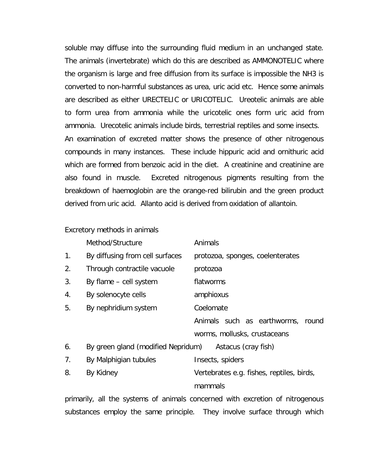soluble may diffuse into the surrounding fluid medium in an unchanged state. The animals (invertebrate) which do this are described as AMMONOTELIC where the organism is large and free diffusion from its surface is impossible the NH3 is converted to non-harmful substances as urea, uric acid etc. Hence some animals are described as either URECTELIC or URICOTELIC. Ureotelic animals are able to form urea from ammonia while the uricotelic ones form uric acid from ammonia. Urecotelic animals include birds, terrestrial reptiles and some insects. An examination of excreted matter shows the presence of other nitrogenous compounds in many instances. These include hippuric acid and ornithuric acid which are formed from benzoic acid in the diet. A creatinine and creatinine are also found in muscle. Excreted nitrogenous pigments resulting from the breakdown of haemoglobin are the orange-red bilirubin and the green product derived from uric acid. Allanto acid is derived from oxidation of allantoin.

Excretory methods in animals

|    | Method/Structure                   | Animals                           |
|----|------------------------------------|-----------------------------------|
| 1. | By diffusing from cell surfaces    | protozoa, sponges, coelenterates  |
| 2. | Through contractile vacuole        | protozoa                          |
| 3. | By flame – cell system             | flatworms                         |
| 4. | By solenocyte cells                | amphioxus                         |
| 5. | By nephridium system               | Coelomate                         |
|    |                                    | Animals such as earthworms, round |
|    |                                    | worms, mollusks, crustaceans      |
| 6. | By green gland (modified Nepridum) | Astacus (cray fish)               |
| 7  | Ry Malnhigjan tuhulas              | Incarte enidare                   |

| $\overline{\phantom{a}}$ | <b>Dy IVIAIDI IIYIAII TUDUICS</b> | <b>ILIJECTS</b> PHOLIP                    |
|--------------------------|-----------------------------------|-------------------------------------------|
|                          | By Kidney                         | Vertebrates e.g. fishes, reptiles, birds, |
|                          |                                   | mammals                                   |

primarily, all the systems of animals concerned with excretion of nitrogenous substances employ the same principle. They involve surface through which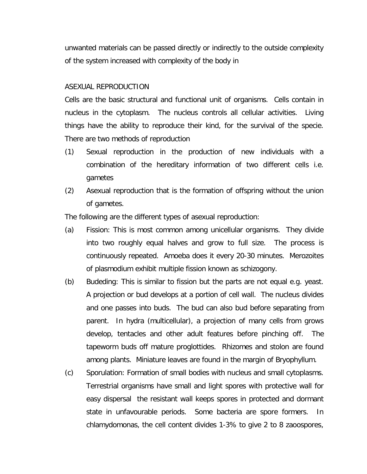unwanted materials can be passed directly or indirectly to the outside complexity of the system increased with complexity of the body in

## ASEXUAL REPRODUCTION

Cells are the basic structural and functional unit of organisms. Cells contain in nucleus in the cytoplasm. The nucleus controls all cellular activities. Living things have the ability to reproduce their kind, for the survival of the specie. There are two methods of reproduction

- (1) Sexual reproduction in the production of new individuals with a combination of the hereditary information of two different cells i.e. gametes
- (2) Asexual reproduction that is the formation of offspring without the union of gametes.

The following are the different types of asexual reproduction:

- (a) Fission: This is most common among unicellular organisms. They divide into two roughly equal halves and grow to full size. The process is continuously repeated. Amoeba does it every 20-30 minutes. Merozoites of plasmodium exhibit multiple fission known as schizogony.
- (b) Budeding: This is similar to fission but the parts are not equal e.g. yeast. A projection or bud develops at a portion of cell wall. The nucleus divides and one passes into buds. The bud can also bud before separating from parent. In hydra (multicellular), a projection of many cells from grows develop, tentacles and other adult features before pinching off. The tapeworm buds off mature proglottides. Rhizomes and stolon are found among plants. Miniature leaves are found in the margin of Bryophyllum.
- (c) Sporulation: Formation of small bodies with nucleus and small cytoplasms. Terrestrial organisms have small and light spores with protective wall for easy dispersal the resistant wall keeps spores in protected and dormant state in unfavourable periods. Some bacteria are spore formers. In chlamydomonas, the cell content divides 1-3% to give 2 to 8 zaoospores,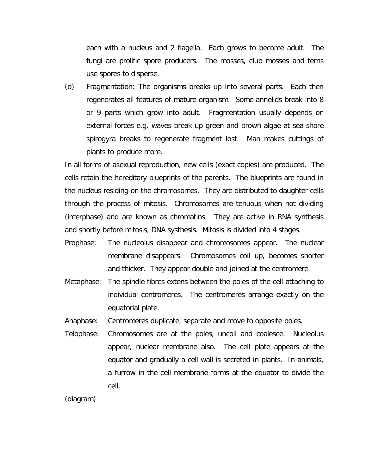each with a nucleus and 2 flagella. Each grows to become adult. The fungi are prolific spore producers. The mosses, club mosses and ferns use spores to disperse.

(d) Fragmentation: The organisms breaks up into several parts. Each then regenerates all features of mature organism. Some annelids break into 8 or 9 parts which grow into adult. Fragmentation usually depends on external forces e.g. waves break up green and brown algae at sea shore spirogyra breaks to regenerate fragment lost. Man makes cuttings of plants to produce more.

In all forms of asexual reproduction, new cells (exact copies) are produced. The cells retain the hereditary blueprints of the parents. The blueprints are found in the nucleus residing on the chromosomes. They are distributed to daughter cells through the process of mitosis. Chromosomes are tenuous when not dividing (interphase) and are known as chromatins. They are active in RNA synthesis and shortly before mitosis, DNA systhesis. Mitosis is divided into 4 stages.

- Prophase: The nucleolus disappear and chromosomes appear. The nuclear membrane disappears. Chromosomes coil up, becomes shorter and thicker. They appear double and joined at the centromere.
- Metaphase: The spindle fibres extens between the poles of the cell attaching to individual centromeres. The centromeres arrange exactly on the equatorial plate.

Anaphase: Centromeres duplicate, separate and move to opposite poles.

Telophase: Chromosomes are at the poles, uncoil and coalesce. Nucleolus appear, nuclear membrane also. The cell plate appears at the equator and gradually a cell wall is secreted in plants. In animals, a furrow in the cell membrane forms at the equator to divide the cell.

(diagram)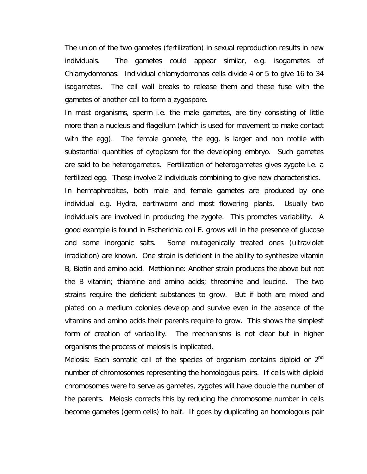The union of the two gametes (fertilization) in sexual reproduction results in new individuals. The gametes could appear similar, e.g. isogametes of Chlamydomonas. Individual chlamydomonas cells divide 4 or 5 to give 16 to 34 isogametes. The cell wall breaks to release them and these fuse with the gametes of another cell to form a zygospore.

In most organisms, sperm i.e. the male gametes, are tiny consisting of little more than a nucleus and flagellum (which is used for movement to make contact with the egg). The female gamete, the egg, is larger and non motile with substantial quantities of cytoplasm for the developing embryo. Such gametes are said to be heterogametes. Fertilization of heterogametes gives zygote i.e. a fertilized egg. These involve 2 individuals combining to give new characteristics.

In hermaphrodites, both male and female gametes are produced by one individual e.g. Hydra, earthworm and most flowering plants. Usually two individuals are involved in producing the zygote. This promotes variability. A good example is found in Escherichia coli E. grows will in the presence of glucose and some inorganic salts. Some mutagenically treated ones (ultraviolet irradiation) are known. One strain is deficient in the ability to synthesize vitamin B, Biotin and amino acid. Methionine: Another strain produces the above but not the B vitamin; thiamine and amino acids; threomine and leucine. The two strains require the deficient substances to grow. But if both are mixed and plated on a medium colonies develop and survive even in the absence of the vitamins and amino acids their parents require to grow. This shows the simplest form of creation of variability. The mechanisms is not clear but in higher organisms the process of meiosis is implicated.

Meiosis: Each somatic cell of the species of organism contains diploid or  $2<sup>nd</sup>$ number of chromosomes representing the homologous pairs. If cells with diploid chromosomes were to serve as gametes, zygotes will have double the number of the parents. Meiosis corrects this by reducing the chromosome number in cells become gametes (germ cells) to half. It goes by duplicating an homologous pair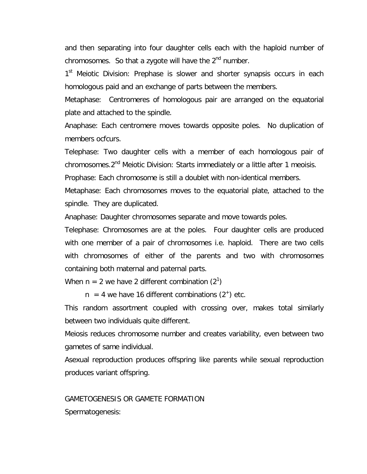and then separating into four daughter cells each with the haploid number of chromosomes. So that a zygote will have the  $2<sup>nd</sup>$  number.

1<sup>st</sup> Meiotic Division: Prephase is slower and shorter synapsis occurs in each homologous paid and an exchange of parts between the members.

Metaphase: Centromeres of homologous pair are arranged on the equatorial plate and attached to the spindle.

Anaphase: Each centromere moves towards opposite poles. No duplication of members ocfcurs.

Telephase: Two daughter cells with a member of each homologous pair of chromosomes.2<sup>nd</sup> Meiotic Division: Starts immediately or a little after 1 meoisis.

Prophase: Each chromosome is still a doublet with non-identical members.

Metaphase: Each chromosomes moves to the equatorial plate, attached to the spindle. They are duplicated.

Anaphase: Daughter chromosomes separate and move towards poles.

Telephase: Chromosomes are at the poles. Four daughter cells are produced with one member of a pair of chromosomes i.e. haploid. There are two cells with chromosomes of either of the parents and two with chromosomes containing both maternal and paternal parts.

When n = 2 we have 2 different combination  $(2^1)$ 

 $n = 4$  we have 16 different combinations  $(2^+)$  etc.

This random assortment coupled with crossing over, makes total similarly between two individuals quite different.

Meiosis reduces chromosome number and creates variability, even between two gametes of same individual.

Asexual reproduction produces offspring like parents while sexual reproduction produces variant offspring.

### GAMETOGENESIS OR GAMETE FORMATION

Spermatogenesis: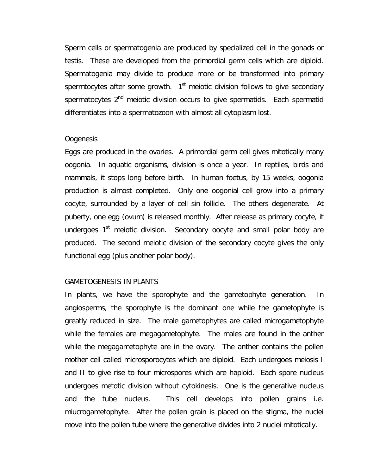Sperm cells or spermatogenia are produced by specialized cell in the gonads or testis. These are developed from the primordial germ cells which are diploid. Spermatogenia may divide to produce more or be transformed into primary spermtocytes after some growth.  $1<sup>st</sup>$  meiotic division follows to give secondary spermatocytes 2<sup>nd</sup> meiotic division occurs to give spermatids. Each spermatid differentiates into a spermatozoon with almost all cytoplasm lost.

#### Oogenesis

Eggs are produced in the ovaries. A primordial germ cell gives mitotically many oogonia. In aquatic organisms, division is once a year. In reptiles, birds and mammals, it stops long before birth. In human foetus, by 15 weeks, oogonia production is almost completed. Only one oogonial cell grow into a primary cocyte, surrounded by a layer of cell sin follicle. The others degenerate. At puberty, one egg (ovum) is released monthly. After release as primary cocyte, it undergoes  $1<sup>st</sup>$  meiotic division. Secondary oocyte and small polar body are produced. The second meiotic division of the secondary cocyte gives the only functional egg (plus another polar body).

### GAMETOGENESIS IN PLANTS

In plants, we have the sporophyte and the gametophyte generation. In angiosperms, the sporophyte is the dominant one while the gametophyte is greatly reduced in size. The male gametophytes are called microgametophyte while the females are megagametophyte. The males are found in the anther while the megagametophyte are in the ovary. The anther contains the pollen mother cell called microsporocytes which are diploid. Each undergoes meiosis I and II to give rise to four microspores which are haploid. Each spore nucleus undergoes metotic division without cytokinesis. One is the generative nucleus and the tube nucleus. This cell develops into pollen grains i.e. miucrogametophyte. After the pollen grain is placed on the stigma, the nuclei move into the pollen tube where the generative divides into 2 nuclei mitotically.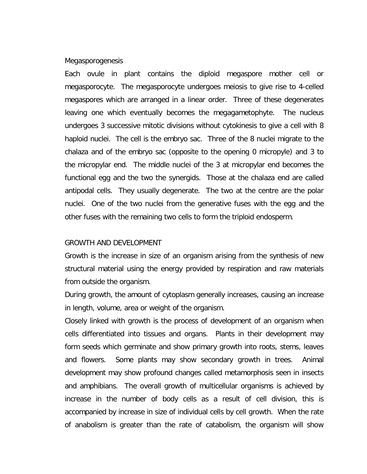#### Megasporogenesis

Each ovule in plant contains the diploid megaspore mother cell or megasporocyte. The megasporocyte undergoes meiosis to give rise to 4-celled megaspores which are arranged in a linear order. Three of these degenerates leaving one which eventually becomes the megagametophyte. The nucleus undergoes 3 successive mitotic divisions without cytokinesis to give a cell with 8 haploid nuclei. The cell is the embryo sac. Three of the 8 nuclei migrate to the chalaza and of the embryo sac (opposite to the opening 0 micropyle) and 3 to the micropylar end. The middle nuclei of the 3 at micropylar end becomes the functional egg and the two the synergids. Those at the chalaza end are called antipodal cells. They usually degenerate. The two at the centre are the polar nuclei. One of the two nuclei from the generative fuses with the egg and the other fuses with the remaining two cells to form the triploid endosperm.

#### GROWTH AND DEVELOPMENT

Growth is the increase in size of an organism arising from the synthesis of new structural material using the energy provided by respiration and raw materials from outside the organism.

During growth, the amount of cytoplasm generally increases, causing an increase in length, volume, area or weight of the organism.

Closely linked with growth is the process of development of an organism when cells differentiated into tissues and organs. Plants in their development may form seeds which germinate and show primary growth into roots, stems, leaves and flowers. Some plants may show secondary growth in trees. Animal development may show profound changes called metamorphosis seen in insects and amphibians. The overall growth of multicellular organisms is achieved by increase in the number of body cells as a result of cell division, this is accompanied by increase in size of individual cells by cell growth. When the rate of anabolism is greater than the rate of catabolism, the organism will show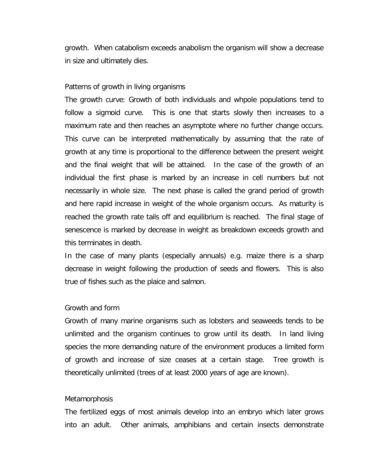growth. When catabolism exceeds anabolism the organism will show a decrease in size and ultimately dies.

#### Patterns of growth in living organisms

The growth curve: Growth of both individuals and whpole populations tend to follow a sigmoid curve. This is one that starts slowly then increases to a maximum rate and then reaches an asymptote where no further change occurs. This curve can be interpreted mathematically by assuming that the rate of growth at any time is proportional to the difference between the present weight and the final weight that will be attained. In the case of the growth of an individual the first phase is marked by an increase in cell numbers but not necessarily in whole size. The next phase is called the grand period of growth and here rapid increase in weight of the whole organism occurs. As maturity is reached the growth rate tails off and equilibrium is reached. The final stage of senescence is marked by decrease in weight as breakdown exceeds growth and this terminates in death.

In the case of many plants (especially annuals) e.g. maize there is a sharp decrease in weight following the production of seeds and flowers. This is also true of fishes such as the plaice and salmon.

#### Growth and form

Growth of many marine organisms such as lobsters and seaweeds tends to be unlimited and the organism continues to grow until its death. In land living species the more demanding nature of the environment produces a limited form of growth and increase of size ceases at a certain stage. Tree growth is theoretically unlimited (trees of at least 2000 years of age are known).

### **Metamorphosis**

The fertilized eggs of most animals develop into an embryo which later grows into an adult. Other animals, amphibians and certain insects demonstrate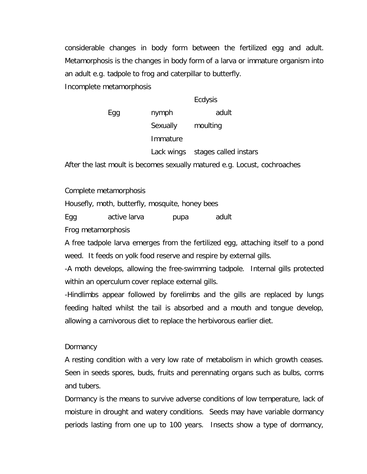considerable changes in body form between the fertilized egg and adult. Metamorphosis is the changes in body form of a larva or immature organism into an adult e.g. tadpole to frog and caterpillar to butterfly. Incomplete metamorphosis

|     |            | Ecdysis               |
|-----|------------|-----------------------|
| Egg | nymph      | adult                 |
|     | Sexually   | moulting              |
|     | Immature   |                       |
|     | Lack wings | stages called instars |

After the last moult is becomes sexually matured e.g. Locust, cochroaches

Complete metamorphosis

Housefly, moth, butterfly, mosquite, honey bees

Egg active larva pupa adult

Frog metamorphosis

A free tadpole larva emerges from the fertilized egg, attaching itself to a pond weed. It feeds on yolk food reserve and respire by external gills.

-A moth develops, allowing the free-swimming tadpole. Internal gills protected within an operculum cover replace external gills.

-Hindlimbs appear followed by forelimbs and the gills are replaced by lungs feeding halted whilst the tail is absorbed and a mouth and tongue develop, allowing a carnivorous diet to replace the herbivorous earlier diet.

### **Dormancy**

A resting condition with a very low rate of metabolism in which growth ceases. Seen in seeds spores, buds, fruits and perennating organs such as bulbs, corms and tubers.

Dormancy is the means to survive adverse conditions of low temperature, lack of moisture in drought and watery conditions. Seeds may have variable dormancy periods lasting from one up to 100 years. Insects show a type of dormancy,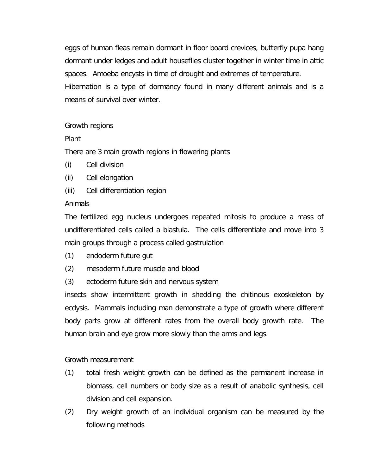eggs of human fleas remain dormant in floor board crevices, butterfly pupa hang dormant under ledges and adult houseflies cluster together in winter time in attic spaces. Amoeba encysts in time of drought and extremes of temperature.

Hibernation is a type of dormancy found in many different animals and is a means of survival over winter.

## Growth regions

Plant

There are 3 main growth regions in flowering plants

- (i) Cell division
- (ii) Cell elongation
- (iii) Cell differentiation region

## Animals

The fertilized egg nucleus undergoes repeated mitosis to produce a mass of undifferentiated cells called a blastula. The cells differentiate and move into 3 main groups through a process called gastrulation

- (1) endoderm future gut
- (2) mesoderm future muscle and blood
- (3) ectoderm future skin and nervous system

insects show intermittent growth in shedding the chitinous exoskeleton by ecdysis. Mammals including man demonstrate a type of growth where different body parts grow at different rates from the overall body growth rate. The human brain and eye grow more slowly than the arms and legs.

## Growth measurement

- (1) total fresh weight growth can be defined as the permanent increase in biomass, cell numbers or body size as a result of anabolic synthesis, cell division and cell expansion.
- (2) Dry weight growth of an individual organism can be measured by the following methods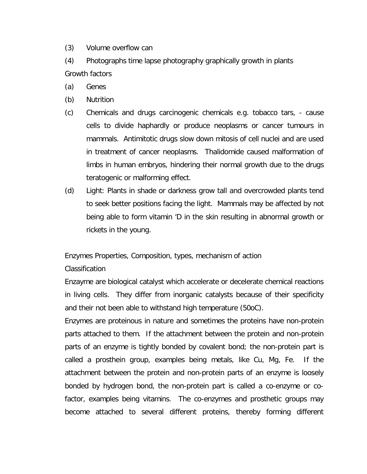- (3) Volume overflow can
- (4) Photographs time lapse photography graphically growth in plants Growth factors
- (a) Genes
- (b) Nutrition
- (c) Chemicals and drugs carcinogenic chemicals e.g. tobacco tars, cause cells to divide haphardly or produce neoplasms or cancer tumours in mammals. Antimitotic drugs slow down mitosis of cell nuclei and are used in treatment of cancer neoplasms. Thalidomide caused malformation of limbs in human embryos, hindering their normal growth due to the drugs teratogenic or malforming effect.
- (d) Light: Plants in shade or darkness grow tall and overcrowded plants tend to seek better positions facing the light. Mammals may be affected by not being able to form vitamin 'D in the skin resulting in abnormal growth or rickets in the young.

Enzymes Properties, Composition, types, mechanism of action

## Classification

Enzayme are biological catalyst which accelerate or decelerate chemical reactions in living cells. They differ from inorganic catalysts because of their specificity and their not been able to withstand high temperature (50oC).

Enzymes are proteinous in nature and sometimes the proteins have non-protein parts attached to them. If the attachment between the protein and non-protein parts of an enzyme is tightly bonded by covalent bond; the non-protein part is called a prosthein group, examples being metals, like Cu, Mg, Fe. If the attachment between the protein and non-protein parts of an enzyme is loosely bonded by hydrogen bond, the non-protein part is called a co-enzyme or cofactor, examples being vitamins. The co-enzymes and prosthetic groups may become attached to several different proteins, thereby forming different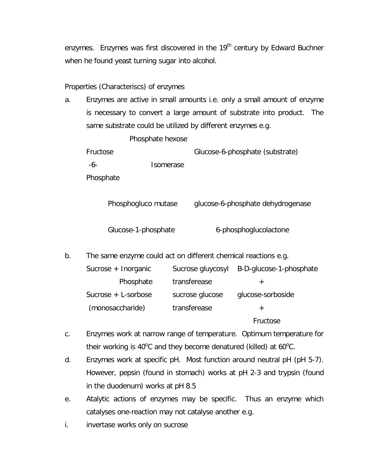enzymes. Enzymes was first discovered in the 19<sup>th</sup> century by Edward Buchner when he found yeast turning sugar into alcohol.

## Properties (Characteriscs) of enzymes

| а. |                                                                | Enzymes are active in small amounts i.e. only a small amount of enzyme   |                                           |  |  |
|----|----------------------------------------------------------------|--------------------------------------------------------------------------|-------------------------------------------|--|--|
|    |                                                                | is necessary to convert a large amount of substrate into product.<br>The |                                           |  |  |
|    | same substrate could be utilized by different enzymes e.g.     |                                                                          |                                           |  |  |
|    | Phosphate hexose                                               |                                                                          |                                           |  |  |
|    | Fructose                                                       |                                                                          | Glucose-6-phosphate (substrate)           |  |  |
|    | Isomerase<br>-6-                                               |                                                                          |                                           |  |  |
|    | Phosphate                                                      |                                                                          |                                           |  |  |
|    |                                                                |                                                                          |                                           |  |  |
|    | Phosphogluco mutase<br>glucose-6-phosphate dehydrogenase       |                                                                          |                                           |  |  |
|    |                                                                |                                                                          |                                           |  |  |
|    | Glucose-1-phosphate                                            |                                                                          | 6-phosphoglucolactone                     |  |  |
|    |                                                                |                                                                          |                                           |  |  |
| b. | The same enzyme could act on different chemical reactions e.g. |                                                                          |                                           |  |  |
|    | Sucrose + Inorganic                                            |                                                                          | Sucrose gluycosyl B-D-glucose-1-phosphate |  |  |
|    | Phosphate                                                      | transferease                                                             | $+$                                       |  |  |
|    | Sucrose + L-sorbose                                            | sucrose glucose                                                          | glucose-sorboside                         |  |  |
|    | (monosaccharide)                                               | transferease                                                             | $^{+}$                                    |  |  |
|    |                                                                |                                                                          | Fructose                                  |  |  |
|    |                                                                |                                                                          |                                           |  |  |

- c. Enzymes work at narrow range of temperature. Optimum temperature for their working is 40 $^{\circ}$ C and they become denatured (killed) at 60 $^{\circ}$ C.
- d. Enzymes work at specific pH. Most function around neutral pH (pH 5-7). However, pepsin (found in stomach) works at pH 2-3 and trypsin (found in the duodenum) works at pH 8.5
- e. Atalytic actions of enzymes may be specific. Thus an enzyme which catalyses one-reaction may not catalyse another e.g.
- i. invertase works only on sucrose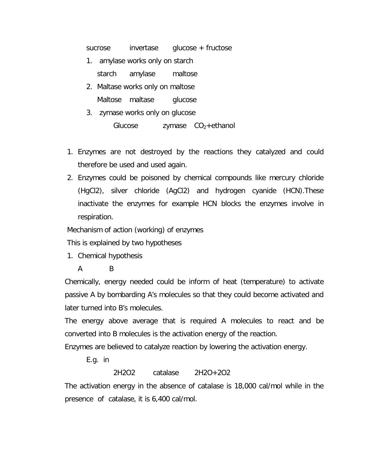sucrose invertase glucose + fructose

- 1. amylase works only on starch starch amylase maltose
- 2. Maltase works only on maltose Maltose maltase glucose
- 3. zymase works only on glucose Glucose  $zymase CO<sub>2</sub> + ethanol$
- 1. Enzymes are not destroyed by the reactions they catalyzed and could therefore be used and used again.
- 2. Enzymes could be poisoned by chemical compounds like mercury chloride (HgCl2), silver chloride (AgCl2) and hydrogen cyanide (HCN).These inactivate the enzymes for example HCN blocks the enzymes involve in respiration.

Mechanism of action (working) of enzymes

This is explained by two hypotheses

1. Chemical hypothesis

## A B

Chemically, energy needed could be inform of heat (temperature) to activate passive A by bombarding A's molecules so that they could become activated and later turned into B's molecules.

The energy above average that is required A molecules to react and be converted into B molecules is the activation energy of the reaction.

Enzymes are believed to catalyze reaction by lowering the activation energy.

E.g. in

2H2O2 catalase 2H2O+2O2

The activation energy in the absence of catalase is 18,000 cal/mol while in the presence of catalase, it is 6,400 cal/mol.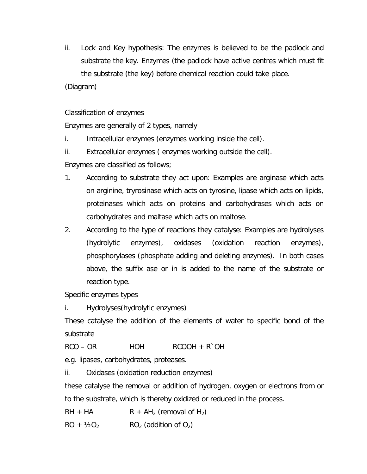ii. Lock and Key hypothesis: The enzymes is believed to be the padlock and substrate the key. Enzymes (the padlock have active centres which must fit the substrate (the key) before chemical reaction could take place.

(Diagram)

Classification of enzymes

Enzymes are generally of 2 types, namely

i. Intracellular enzymes (enzymes working inside the cell).

ii. Extracellular enzymes ( enzymes working outside the cell).

Enzymes are classified as follows;

- 1. According to substrate they act upon: Examples are arginase which acts on arginine, tryrosinase which acts on tyrosine, lipase which acts on lipids, proteinases which acts on proteins and carbohydrases which acts on carbohydrates and maltase which acts on maltose.
- 2. According to the type of reactions they catalyse: Examples are hydrolyses (hydrolytic enzymes), oxidases (oxidation reaction enzymes), phosphorylases (phosphate adding and deleting enzymes). In both cases above, the suffix ase or in is added to the name of the substrate or reaction type.

Specific enzymes types

i. Hydrolyses(hydrolytic enzymes)

These catalyse the addition of the elements of water to specific bond of the substrate

 $RCO - OR$  HOH  $RCOOH + R^{\circ}OH$ 

e.g. lipases, carbohydrates, proteases.

ii. Oxidases (oxidation reduction enzymes)

these catalyse the removal or addition of hydrogen, oxygen or electrons from or to the substrate, which is thereby oxidized or reduced in the process.

 $RH + HA$   $R + AH_2$  (removal of H<sub>2</sub>)

 $RO + V_2O_2$  RO<sub>2</sub> (addition of O<sub>2</sub>)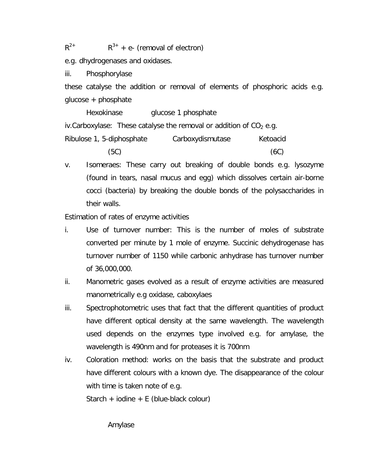$R^{2+}$  R  $R^{3+}$  + e- (removal of electron)

e.g. dhydrogenases and oxidases.

iii. Phosphorylase

these catalyse the addition or removal of elements of phosphoric acids e.g. glucose + phosphate

Hexokinase glucose 1 phosphate iv.Carboxylase: These catalyse the removal or addition of  $CO<sub>2</sub>$  e.g.

Ribulose 1, 5-diphosphate Carboxydismutase Ketoacid  $(5C)$  (6C)

v. Isomeraes: These carry out breaking of double bonds e.g. lysozyme (found in tears, nasal mucus and egg) which dissolves certain air-borne cocci (bacteria) by breaking the double bonds of the polysaccharides in their walls.

Estimation of rates of enzyme activities

- i. Use of turnover number: This is the number of moles of substrate converted per minute by 1 mole of enzyme. Succinic dehydrogenase has turnover number of 1150 while carbonic anhydrase has turnover number of 36,000,000.
- ii. Manometric gases evolved as a result of enzyme activities are measured manometrically e.g oxidase, caboxylaes
- iii. Spectrophotometric uses that fact that the different quantities of product have different optical density at the same wavelength. The wavelength used depends on the enzymes type involved e.g. for amylase, the wavelength is 490nm and for proteases it is 700nm
- iv. Coloration method: works on the basis that the substrate and product have different colours with a known dye. The disappearance of the colour with time is taken note of e.g.

Starch + iodine + E (blue-black colour)

Amylase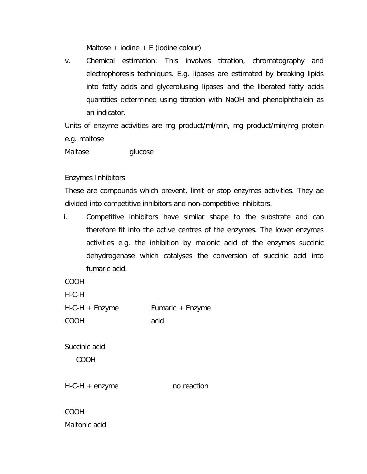Maltose + iodine + E (iodine colour)

v. Chemical estimation: This involves titration, chromatography and electrophoresis techniques. E.g. lipases are estimated by breaking lipids into fatty acids and glycerolusing lipases and the liberated fatty acids quantities determined using titration with NaOH and phenolphthalein as an indicator.

Units of enzyme activities are mg product/ml/min, mg product/min/mg protein e.g. maltose

Maltase glucose

Enzymes Inhibitors

These are compounds which prevent, limit or stop enzymes activities. They ae divided into competitive inhibitors and non-competitive inhibitors.

i. Competitive inhibitors have similar shape to the substrate and can therefore fit into the active centres of the enzymes. The lower enzymes activities e.g. the inhibition by malonic acid of the enzymes succinic dehydrogenase which catalyses the conversion of succinic acid into fumaric acid.

COOH

H-C-H

H-C-H + Enzyme Fumaric + Enzyme COOH acid

Succinic acid

COOH

H-C-H + enzyme no reaction

COOH Maltonic acid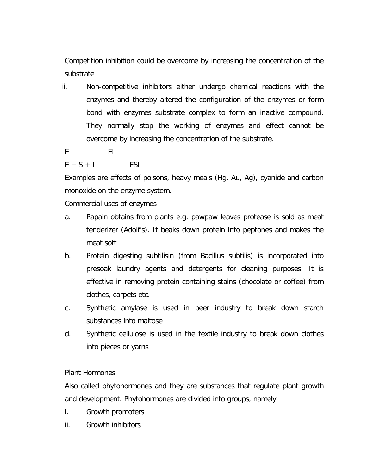Competition inhibition could be overcome by increasing the concentration of the substrate

- ii. Non-competitive inhibitors either undergo chemical reactions with the enzymes and thereby altered the configuration of the enzymes or form bond with enzymes substrate complex to form an inactive compound. They normally stop the working of enzymes and effect cannot be overcome by increasing the concentration of the substrate.
- E I EI

 $E + S + I$  ESI

Examples are effects of poisons, heavy meals (Hg, Au, Ag), cyanide and carbon monoxide on the enzyme system.

Commercial uses of enzymes

- a. Papain obtains from plants e.g. pawpaw leaves protease is sold as meat tenderizer (Adolf's). It beaks down protein into peptones and makes the meat soft
- b. Protein digesting subtilisin (from Bacillus subtilis) is incorporated into presoak laundry agents and detergents for cleaning purposes. It is effective in removing protein containing stains (chocolate or coffee) from clothes, carpets etc.
- c. Synthetic amylase is used in beer industry to break down starch substances into maltose
- d. Synthetic cellulose is used in the textile industry to break down clothes into pieces or yarns

Plant Hormones

Also called phytohormones and they are substances that regulate plant growth and development. Phytohormones are divided into groups, namely:

- i. Growth promoters
- ii. Growth inhibitors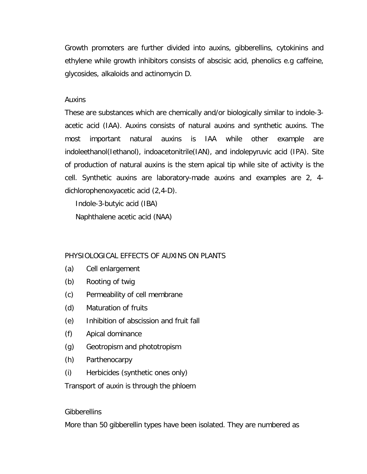Growth promoters are further divided into auxins, gibberellins, cytokinins and ethylene while growth inhibitors consists of abscisic acid, phenolics e.g caffeine, glycosides, alkaloids and actinomycin D.

## Auxins

These are substances which are chemically and/or biologically similar to indole-3 acetic acid (IAA). Auxins consists of natural auxins and synthetic auxins. The most important natural auxins is IAA while other example are indoleethanol(Iethanol), indoacetonitrile(IAN), and indolepyruvic acid (IPA). Site of production of natural auxins is the stem apical tip while site of activity is the cell. Synthetic auxins are laboratory-made auxins and examples are 2, 4 dichlorophenoxyacetic acid (2,4-D).

Indole-3-butyic acid (IBA)

Naphthalene acetic acid (NAA)

## PHYSIOLOGICAL EFFECTS OF AUXINS ON PLANTS

- (a) Cell enlargement
- (b) Rooting of twig
- (c) Permeability of cell membrane
- (d) Maturation of fruits
- (e) Inhibition of abscission and fruit fall
- (f) Apical dominance
- (g) Geotropism and phototropism
- (h) Parthenocarpy
- (i) Herbicides (synthetic ones only)

Transport of auxin is through the phloem

## **Gibberellins**

More than 50 gibberellin types have been isolated. They are numbered as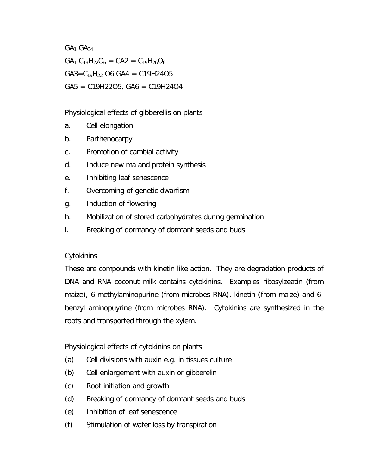$GA<sub>1</sub> GA<sub>34</sub>$  $GA_1 C_{19}H_{22}O_6 = CA2 = C_{19}H_{26}O_6$  $GA3 = C_{19}H_{22}$  O6 GA4 = C19H24O5  $GAS = C19H22O5, GAS = C19H24O4$ 

Physiological effects of gibberellis on plants

- a. Cell elongation
- b. Parthenocarpy
- c. Promotion of cambial activity
- d. Induce new ma and protein synthesis
- e. Inhibiting leaf senescence
- f. Overcoming of genetic dwarfism
- g. Induction of flowering
- h. Mobilization of stored carbohydrates during germination
- i. Breaking of dormancy of dormant seeds and buds

# **Cytokinins**

These are compounds with kinetin like action. They are degradation products of DNA and RNA coconut milk contains cytokinins. Examples ribosylzeatin (from maize), 6-methylaminopurine (from microbes RNA), kinetin (from maize) and 6 benzyl aminopuyrine (from microbes RNA). Cytokinins are synthesized in the roots and transported through the xylem.

Physiological effects of cytokinins on plants

- (a) Cell divisions with auxin e.g. in tissues culture
- (b) Cell enlargement with auxin or gibberelin
- (c) Root initiation and growth
- (d) Breaking of dormancy of dormant seeds and buds
- (e) Inhibition of leaf senescence
- (f) Stimulation of water loss by transpiration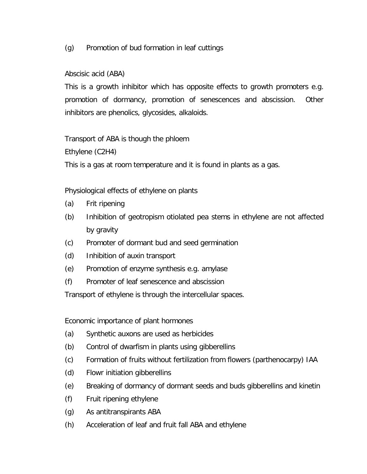## (g) Promotion of bud formation in leaf cuttings

## Abscisic acid (ABA)

This is a growth inhibitor which has opposite effects to growth promoters e.g. promotion of dormancy, promotion of senescences and abscission. Other inhibitors are phenolics, glycosides, alkaloids.

Transport of ABA is though the phloem

Ethylene (C2H4)

This is a gas at room temperature and it is found in plants as a gas.

Physiological effects of ethylene on plants

- (a) Frit ripening
- (b) Inhibition of geotropism otiolated pea stems in ethylene are not affected by gravity
- (c) Promoter of dormant bud and seed germination
- (d) Inhibition of auxin transport
- (e) Promotion of enzyme synthesis e.g. amylase
- (f) Promoter of leaf senescence and abscission

Transport of ethylene is through the intercellular spaces.

Economic importance of plant hormones

- (a) Synthetic auxons are used as herbicides
- (b) Control of dwarfism in plants using gibberellins
- (c) Formation of fruits without fertilization from flowers (parthenocarpy) IAA
- (d) Flowr initiation gibberellins
- (e) Breaking of dormancy of dormant seeds and buds gibberellins and kinetin
- (f) Fruit ripening ethylene
- (g) As antitranspirants ABA
- (h) Acceleration of leaf and fruit fall ABA and ethylene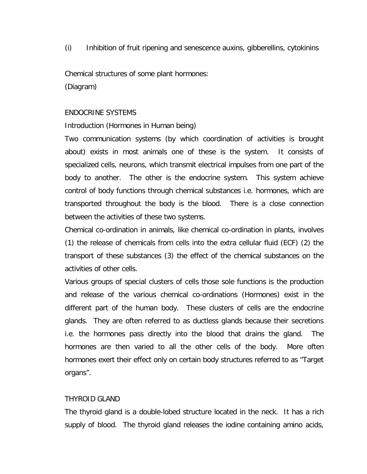(i) Inhibition of fruit ripening and senescence auxins, gibberellins, cytokinins

Chemical structures of some plant hormones:

(Diagram)

## ENDOCRINE SYSTEMS

Introduction (Hormones in Human being)

Two communication systems (by which coordination of activities is brought about) exists in most animals one of these is the system. It consists of specialized cells, neurons, which transmit electrical impulses from one part of the body to another. The other is the endocrine system. This system achieve control of body functions through chemical substances i.e. hormones, which are transported throughout the body is the blood. There is a close connection between the activities of these two systems.

Chemical co-ordination in animals, like chemical co-ordination in plants, involves (1) the release of chemicals from cells into the extra cellular fluid (ECF) (2) the transport of these substances (3) the effect of the chemical substances on the activities of other cells.

Various groups of special clusters of cells those sole functions is the production and release of the various chemical co-ordinations (Hormones) exist in the different part of the human body. These clusters of cells are the endocrine glands. They are often referred to as ductless glands because their secretions i.e. the hormones pass directly into the blood that drains the gland. The hormones are then varied to all the other cells of the body. More often hormones exert their effect only on certain body structures referred to as "Target organs".

## THYROID GLAND

The thyroid gland is a double-lobed structure located in the neck. It has a rich supply of blood. The thyroid gland releases the iodine containing amino acids,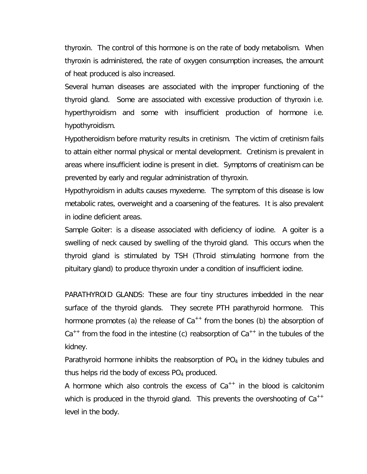thyroxin. The control of this hormone is on the rate of body metabolism. When thyroxin is administered, the rate of oxygen consumption increases, the amount of heat produced is also increased.

Several human diseases are associated with the improper functioning of the thyroid gland. Some are associated with excessive production of thyroxin i.e. hyperthyroidism and some with insufficient production of hormone i.e. hypothyroidism.

Hypotheroidism before maturity results in cretinism. The victim of cretinism fails to attain either normal physical or mental development. Cretinism is prevalent in areas where insufficient iodine is present in diet. Symptoms of creatinism can be prevented by early and regular administration of thyroxin.

Hypothyroidism in adults causes myxedeme. The symptom of this disease is low metabolic rates, overweight and a coarsening of the features. It is also prevalent in iodine deficient areas.

Sample Goiter: is a disease associated with deficiency of iodine. A goiter is a swelling of neck caused by swelling of the thyroid gland. This occurs when the thyroid gland is stimulated by TSH (Throid stimulating hormone from the pituitary gland) to produce thyroxin under a condition of insufficient iodine.

PARATHYROID GLANDS: These are four tiny structures imbedded in the near surface of the thyroid glands. They secrete PTH parathyroid hormone. This hormone promotes (a) the release of  $Ca^{++}$  from the bones (b) the absorption of  $Ca^{++}$  from the food in the intestine (c) reabsorption of  $Ca^{++}$  in the tubules of the kidney.

Parathyroid hormone inhibits the reabsorption of  $PO<sub>4</sub>$  in the kidney tubules and thus helps rid the body of excess  $PO<sub>4</sub>$  produced.

A hormone which also controls the excess of  $Ca^{++}$  in the blood is calcitonim which is produced in the thyroid gland. This prevents the overshooting of  $Ca^{++}$ level in the body.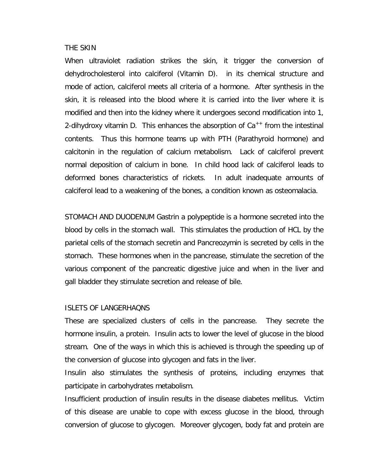#### THE SKIN

When ultraviolet radiation strikes the skin, it trigger the conversion of dehydrocholesterol into calciferol (Vitamin D). in its chemical structure and mode of action, calciferol meets all criteria of a hormone. After synthesis in the skin, it is released into the blood where it is carried into the liver where it is modified and then into the kidney where it undergoes second modification into 1, 2-dihydroxy vitamin D. This enhances the absorption of  $Ca^{++}$  from the intestinal contents. Thus this hormone teams up with PTH (Parathyroid hormone) and calcitonin in the regulation of calcium metabolism. Lack of calciferol prevent normal deposition of calcium in bone. In child hood lack of calciferol leads to deformed bones characteristics of rickets. In adult inadequate amounts of calciferol lead to a weakening of the bones, a condition known as osteomalacia.

STOMACH AND DUODENUM Gastrin a polypeptide is a hormone secreted into the blood by cells in the stomach wall. This stimulates the production of HCL by the parietal cells of the stomach secretin and Pancreozymin is secreted by cells in the stomach. These hormones when in the pancrease, stimulate the secretion of the various component of the pancreatic digestive juice and when in the liver and gall bladder they stimulate secretion and release of bile.

### ISLETS OF LANGERHAQNS

These are specialized clusters of cells in the pancrease. They secrete the hormone insulin, a protein. Insulin acts to lower the level of glucose in the blood stream. One of the ways in which this is achieved is through the speeding up of the conversion of glucose into glycogen and fats in the liver.

Insulin also stimulates the synthesis of proteins, including enzymes that participate in carbohydrates metabolism.

Insufficient production of insulin results in the disease diabetes mellitus. Victim of this disease are unable to cope with excess glucose in the blood, through conversion of glucose to glycogen. Moreover glycogen, body fat and protein are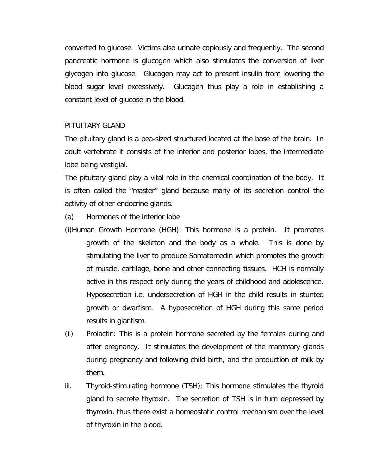converted to glucose. Victims also urinate copiously and frequently. The second pancreatic hormone is glucogen which also stimulates the conversion of liver glycogen into glucose. Glucogen may act to present insulin from lowering the blood sugar level excessively. Glucagen thus play a role in establishing a constant level of glucose in the blood.

## PITUITARY GLAND

The pituitary gland is a pea-sized structured located at the base of the brain. In adult vertebrate it consists of the interior and posterior lobes, the intermediate lobe being vestigial.

The pituitary gland play a vital role in the chemical coordination of the body. It is often called the "master" gland because many of its secretion control the activity of other endocrine glands.

(a) Hormones of the interior lobe

- (i)Human Growth Hormone (HGH): This hormone is a protein. It promotes growth of the skeleton and the body as a whole. This is done by stimulating the liver to produce Somatomedin which promotes the growth of muscle, cartilage, bone and other connecting tissues. HCH is normally active in this respect only during the years of childhood and adolescence. Hyposecretion i.e. undersecretion of HGH in the child results in stunted growth or dwarfism. A hyposecretion of HGH during this same period results in giantism.
- (ii) Prolactin: This is a protein hormone secreted by the females during and after pregnancy. It stimulates the development of the mammary glands during pregnancy and following child birth, and the production of milk by them.
- iii. Thyroid-stimulating hormone (TSH): This hormone stimulates the thyroid gland to secrete thyroxin. The secretion of TSH is in turn depressed by thyroxin, thus there exist a homeostatic control mechanism over the level of thyroxin in the blood.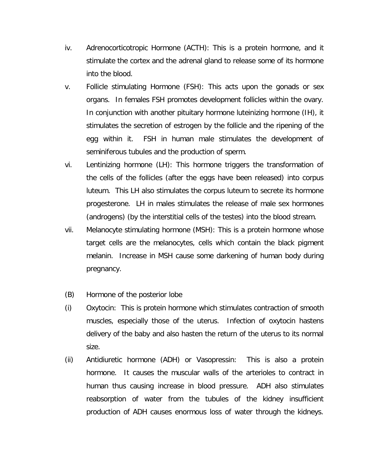- iv. Adrenocorticotropic Hormone (ACTH): This is a protein hormone, and it stimulate the cortex and the adrenal gland to release some of its hormone into the blood.
- v. Follicle stimulating Hormone (FSH): This acts upon the gonads or sex organs. In females FSH promotes development follicles within the ovary. In conjunction with another pituitary hormone luteinizing hormone (IH), it stimulates the secretion of estrogen by the follicle and the ripening of the egg within it. FSH in human male stimulates the development of seminiferous tubules and the production of sperm.
- vi. Lentinizing hormone (LH): This hormone triggers the transformation of the cells of the follicles (after the eggs have been released) into corpus luteum. This LH also stimulates the corpus luteum to secrete its hormone progesterone. LH in males stimulates the release of male sex hormones (androgens) (by the interstitial cells of the testes) into the blood stream.
- vii. Melanocyte stimulating hormone (MSH): This is a protein hormone whose target cells are the melanocytes, cells which contain the black pigment melanin. Increase in MSH cause some darkening of human body during pregnancy.
- (B) Hormone of the posterior lobe
- (i) Oxytocin: This is protein hormone which stimulates contraction of smooth muscles, especially those of the uterus. Infection of oxytocin hastens delivery of the baby and also hasten the return of the uterus to its normal size.
- (ii) Antidiuretic hormone (ADH) or Vasopressin: This is also a protein hormone. It causes the muscular walls of the arterioles to contract in human thus causing increase in blood pressure. ADH also stimulates reabsorption of water from the tubules of the kidney insufficient production of ADH causes enormous loss of water through the kidneys.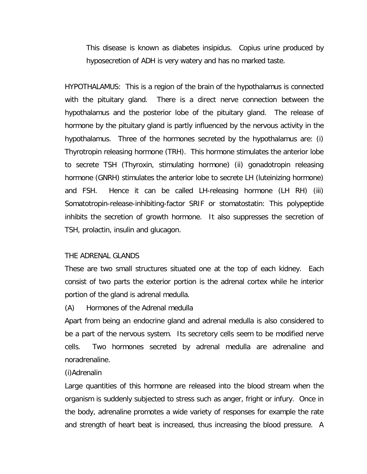This disease is known as diabetes insipidus. Copius urine produced by hyposecretion of ADH is very watery and has no marked taste.

HYPOTHALAMUS: This is a region of the brain of the hypothalamus is connected with the pituitary gland. There is a direct nerve connection between the hypothalamus and the posterior lobe of the pituitary gland. The release of hormone by the pituitary gland is partly influenced by the nervous activity in the hypothalamus. Three of the hormones secreted by the hypothalamus are: (i) Thyrotropin releasing hormone (TRH). This hormone stimulates the anterior lobe to secrete TSH (Thyroxin, stimulating hormone) (ii) gonadotropin releasing hormone (GNRH) stimulates the anterior lobe to secrete LH (luteinizing hormone) and FSH. Hence it can be called LH-releasing hormone (LH RH) (iii) Somatotropin-release-inhibiting-factor SRIF or stomatostatin: This polypeptide inhibits the secretion of growth hormone. It also suppresses the secretion of TSH, prolactin, insulin and glucagon.

#### THE ADRENAL GLANDS

These are two small structures situated one at the top of each kidney. Each consist of two parts the exterior portion is the adrenal cortex while he interior portion of the gland is adrenal medulla.

(A) Hormones of the Adrenal medulla

Apart from being an endocrine gland and adrenal medulla is also considered to be a part of the nervous system. Its secretory cells seem to be modified nerve cells. Two hormones secreted by adrenal medulla are adrenaline and noradrenaline.

#### (i)Adrenalin

Large quantities of this hormone are released into the blood stream when the organism is suddenly subjected to stress such as anger, fright or infury. Once in the body, adrenaline promotes a wide variety of responses for example the rate and strength of heart beat is increased, thus increasing the blood pressure. A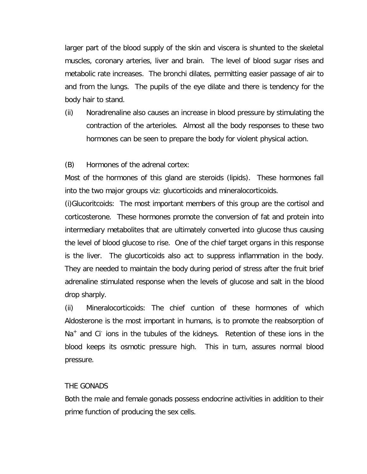larger part of the blood supply of the skin and viscera is shunted to the skeletal muscles, coronary arteries, liver and brain. The level of blood sugar rises and metabolic rate increases. The bronchi dilates, permitting easier passage of air to and from the lungs. The pupils of the eye dilate and there is tendency for the body hair to stand.

(ii) Noradrenaline also causes an increase in blood pressure by stimulating the contraction of the arterioles. Almost all the body responses to these two hormones can be seen to prepare the body for violent physical action.

(B) Hormones of the adrenal cortex:

Most of the hormones of this gland are steroids (lipids). These hormones fall into the two major groups viz: glucorticoids and mineralocorticoids.

(i)Glucoritcoids: The most important members of this group are the cortisol and corticosterone. These hormones promote the conversion of fat and protein into intermediary metabolites that are ultimately converted into glucose thus causing the level of blood glucose to rise. One of the chief target organs in this response is the liver. The glucorticoids also act to suppress inflammation in the body. They are needed to maintain the body during period of stress after the fruit brief adrenaline stimulated response when the levels of glucose and salt in the blood drop sharply.

(ii) Mineralocorticoids: The chief cuntion of these hormones of which Aldosterone is the most important in humans, is to promote the reabsorption of Na<sup>+</sup> and Ci<sup>-</sup> ions in the tubules of the kidneys. Retention of these ions in the blood keeps its osmotic pressure high. This in turn, assures normal blood pressure.

### THE GONADS

Both the male and female gonads possess endocrine activities in addition to their prime function of producing the sex cells.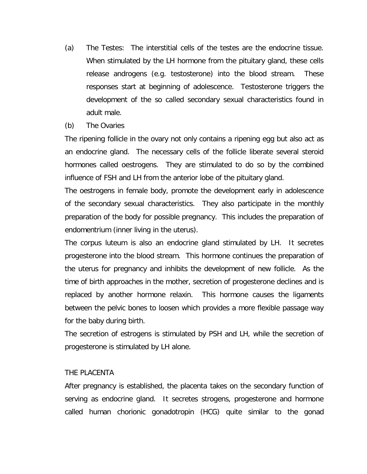- (a) The Testes: The interstitial cells of the testes are the endocrine tissue. When stimulated by the LH hormone from the pituitary gland, these cells release androgens (e.g. testosterone) into the blood stream. These responses start at beginning of adolescence. Testosterone triggers the development of the so called secondary sexual characteristics found in adult male.
- (b) The Ovaries

The ripening follicle in the ovary not only contains a ripening egg but also act as an endocrine gland. The necessary cells of the follicle liberate several steroid hormones called oestrogens. They are stimulated to do so by the combined influence of FSH and LH from the anterior lobe of the pituitary gland.

The oestrogens in female body, promote the development early in adolescence of the secondary sexual characteristics. They also participate in the monthly preparation of the body for possible pregnancy. This includes the preparation of endomentrium (inner living in the uterus).

The corpus luteum is also an endocrine gland stimulated by LH. It secretes progesterone into the blood stream. This hormone continues the preparation of the uterus for pregnancy and inhibits the development of new follicle. As the time of birth approaches in the mother, secretion of progesterone declines and is replaced by another hormone relaxin. This hormone causes the ligaments between the pelvic bones to loosen which provides a more flexible passage way for the baby during birth.

The secretion of estrogens is stimulated by PSH and LH, while the secretion of progesterone is stimulated by LH alone.

## THE PLACENTA

After pregnancy is established, the placenta takes on the secondary function of serving as endocrine gland. It secretes strogens, progesterone and hormone called human chorionic gonadotropin (HCG) quite similar to the gonad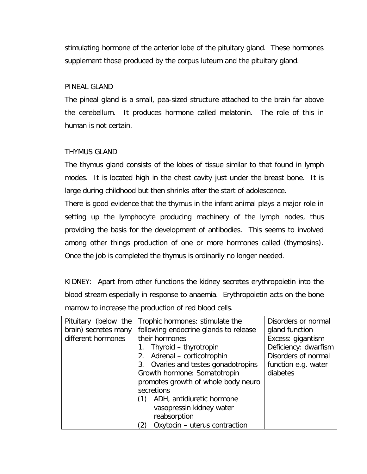stimulating hormone of the anterior lobe of the pituitary gland. These hormones supplement those produced by the corpus luteum and the pituitary gland.

## PINEAL GLAND

The pineal gland is a small, pea-sized structure attached to the brain far above the cerebellum. It produces hormone called melatonin. The role of this in human is not certain.

## THYMUS GLAND

The thymus gland consists of the lobes of tissue similar to that found in lymph modes. It is located high in the chest cavity just under the breast bone. It is large during childhood but then shrinks after the start of adolescence.

There is good evidence that the thymus in the infant animal plays a major role in setting up the lymphocyte producing machinery of the lymph nodes, thus providing the basis for the development of antibodies. This seems to involved among other things production of one or more hormones called (thymosins). Once the job is completed the thymus is ordinarily no longer needed.

KIDNEY: Apart from other functions the kidney secretes erythropoietin into the blood stream especially in response to anaemia. Erythropoietin acts on the bone marrow to increase the production of red blood cells.

| Pituitary (below the | Trophic hormones: stimulate the       | Disorders or normal  |
|----------------------|---------------------------------------|----------------------|
| brain) secretes many | following endocrine glands to release | gland function       |
| different hormones   | their hormones                        | Excess: gigantism    |
|                      | Thyroid – thyrotropin                 | Deficiency: dwarfism |
|                      | Adrenal - corticotrophin<br>2.        | Disorders of normal  |
|                      | 3. Ovaries and testes gonadotropins   | function e.g. water  |
|                      | Growth hormone: Somatotropin          | diabetes             |
|                      | promotes growth of whole body neuro   |                      |
|                      | secretions                            |                      |
|                      | ADH, antidiuretic hormone<br>(1)      |                      |
|                      | vasopressin kidney water              |                      |
|                      | reabsorption                          |                      |
|                      | Oxytocin - uterus contraction         |                      |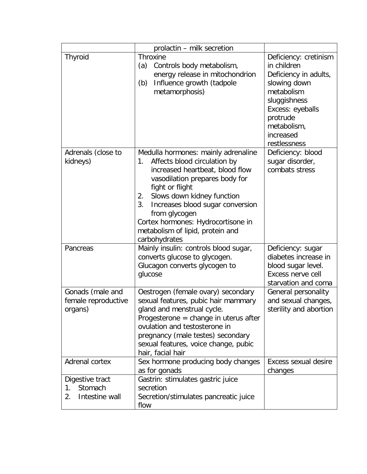|                                                          | prolactin - milk secretion                                                                                                                                                                                                                                                                                                                                  |                                                                                                                                                                                         |
|----------------------------------------------------------|-------------------------------------------------------------------------------------------------------------------------------------------------------------------------------------------------------------------------------------------------------------------------------------------------------------------------------------------------------------|-----------------------------------------------------------------------------------------------------------------------------------------------------------------------------------------|
| <b>Thyroid</b>                                           | <b>Throxine</b><br>Controls body metabolism,<br>(a)<br>energy release in mitochondrion<br>Influence growth (tadpole<br>(b)<br>metamorphosis)                                                                                                                                                                                                                | Deficiency: cretinism<br>in children<br>Deficiency in adults,<br>slowing down<br>metabolism<br>sluggishness<br>Excess: eyeballs<br>protrude<br>metabolism,<br>increased<br>restlessness |
| Adrenals (close to<br>kidneys)                           | Medulla hormones: mainly adrenaline<br>Affects blood circulation by<br>1.<br>increased heartbeat, blood flow<br>vasodilation prepares body for<br>fight or flight<br>Slows down kidney function<br>2.<br>3.<br>Increases blood sugar conversion<br>from glycogen<br>Cortex hormones: Hydrocortisone in<br>metabolism of lipid, protein and<br>carbohydrates | Deficiency: blood<br>sugar disorder,<br>combats stress                                                                                                                                  |
| Pancreas                                                 | Mainly insulin: controls blood sugar,<br>converts glucose to glycogen.<br>Glucagon converts glycogen to<br>glucose                                                                                                                                                                                                                                          | Deficiency: sugar<br>diabetes increase in<br>blood sugar level.<br>Excess nerve cell<br>starvation and coma                                                                             |
| Gonads (male and<br>female reproductive<br>organs)       | Oestrogen (female ovary) secondary<br>sexual features, pubic hair mammary<br>gland and menstrual cycle.<br>Progesterone = change in uterus after<br>ovulation and testosterone in<br>pregnancy (male testes) secondary<br>sexual features, voice change, pubic<br>hair, facial hair                                                                         | General personality<br>and sexual changes,<br>sterility and abortion                                                                                                                    |
| Adrenal cortex                                           | Sex hormone producing body changes<br>as for gonads                                                                                                                                                                                                                                                                                                         | Excess sexual desire<br>changes                                                                                                                                                         |
| Digestive tract<br>Stomach<br>1.<br>Intestine wall<br>2. | Gastrin: stimulates gastric juice<br>secretion<br>Secretion/stimulates pancreatic juice<br>flow                                                                                                                                                                                                                                                             |                                                                                                                                                                                         |